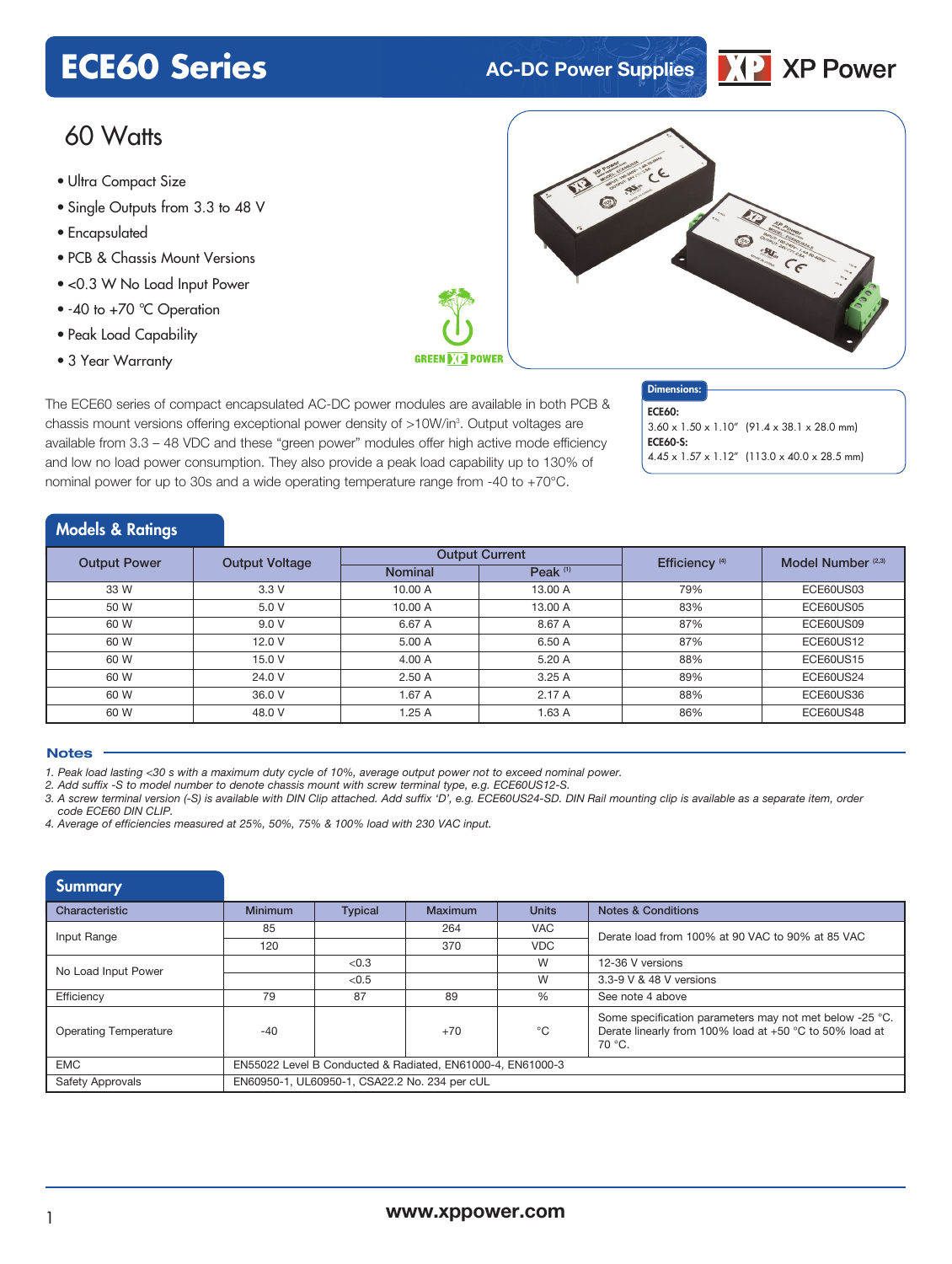# **ECE60 Series AC-DC Power Supplies**



## 60 Watts

- Ultra Compact Size
- Single Outputs from 3.3 to 48 V
- Encapsulated
- PCB & Chassis Mount Versions
- <0.3 W No Load Input Power
- -40 to +70 °C Operation
- Peak Load Capability
- 3 Year Warranty



The ECE60 series of compact encapsulated AC-DC power modules are available in both PCB & chassis mount versions offering exceptional power density of >10W/in<sup>3</sup>. Output voltages are available from 3.3 – 48 VDC and these "green power" modules offer high active mode efficiency and low no load power consumption. They also provide a peak load capability up to 130% of nominal power for up to 30s and a wide operating temperature range from -40 to +70°C.

### Dimensions:

ECE60: 3.60 x 1.50 x 1.10" (91.4 x 38.1 x 28.0 mm) **ECE60-S:** 4.45 x 1.57 x 1.12" (113.0 x 40.0 x 28.5 mm)

#### Models & Ratings

| <b>Output Power</b> | <b>Output Voltage</b> |                | <b>Output Current</b> | Efficiency <sup>(4)</sup> | Model Number <sup>(2,3)</sup> |
|---------------------|-----------------------|----------------|-----------------------|---------------------------|-------------------------------|
|                     |                       | <b>Nominal</b> | Peak $(1)$            |                           |                               |
| 33 W                | 3.3V                  | 10.00 A        | 13.00 A               | 79%                       | ECE60US03                     |
| 50 W                | 5.0 V                 | 10.00 A        | 13.00 A               | 83%                       | ECE60US05                     |
| 60 W                | 9.0V                  | 6.67 A         | 8.67 A                | 87%                       | ECE60US09                     |
| 60 W                | 12.0V                 | 5.00 A         | 6.50 A                | 87%                       | <b>ECE60US12</b>              |
| 60 W                | 15.0 V                | 4.00 A         | 5.20 A                | 88%                       | <b>ECE60US15</b>              |
| 60 W                | 24.0 V                | 2.50A          | 3.25A                 | 89%                       | ECE60US24                     |
| 60 W                | 36.0 V                | 1.67 A         | 2.17A                 | 88%                       | ECE60US36                     |
| 60 W                | 48.0 V                | 1.25A          | 1.63A                 | 86%                       | <b>ECE60US48</b>              |

#### **Notes**

1. Peak load lasting <30 s with a maximum duty cycle of 10%, average output power not to exceed nominal power.

*2. Add suffix -S to model number to denote chassis mount with screw terminal type, e.g. ECE60US12-S.*

3. A screw terminal version (-S) is available with DIN Clip attached. Add suffix 'D', e.g. ECE60US24-SD. DIN Rail mounting clip is available as a separate item, order *code ECE60 DIN CLIP.*

*4. Average of efficiencies measured at 25%, 50%, 75% & 100% load with 230 VAC input.*

| <b>Summary</b>               |                                                            |                |         |               |                                                                                                                              |  |
|------------------------------|------------------------------------------------------------|----------------|---------|---------------|------------------------------------------------------------------------------------------------------------------------------|--|
| Characteristic               | <b>Minimum</b>                                             | <b>Typical</b> | Maximum | <b>Units</b>  | <b>Notes &amp; Conditions</b>                                                                                                |  |
| Input Range                  | 85                                                         |                | 264     | <b>VAC</b>    | Derate load from 100% at 90 VAC to 90% at 85 VAC                                                                             |  |
|                              | 120                                                        |                | 370     | <b>VDC</b>    |                                                                                                                              |  |
| No Load Input Power          |                                                            | < 0.3          |         | W             | 12-36 V versions                                                                                                             |  |
|                              |                                                            | < 0.5          |         | W             | 3.3-9 V & 48 V versions                                                                                                      |  |
| Efficiency                   | 79                                                         | 87             | 89      | $\frac{0}{0}$ | See note 4 above                                                                                                             |  |
| <b>Operating Temperature</b> | $-40$                                                      |                | $+70$   | $^{\circ}$ C  | Some specification parameters may not met below -25 °C.<br>Derate linearly from 100% load at +50 °C to 50% load at<br>70 °C. |  |
| <b>EMC</b>                   | EN55022 Level B Conducted & Radiated, EN61000-4, EN61000-3 |                |         |               |                                                                                                                              |  |
| <b>Safety Approvals</b>      | EN60950-1, UL60950-1, CSA22.2 No. 234 per cUL              |                |         |               |                                                                                                                              |  |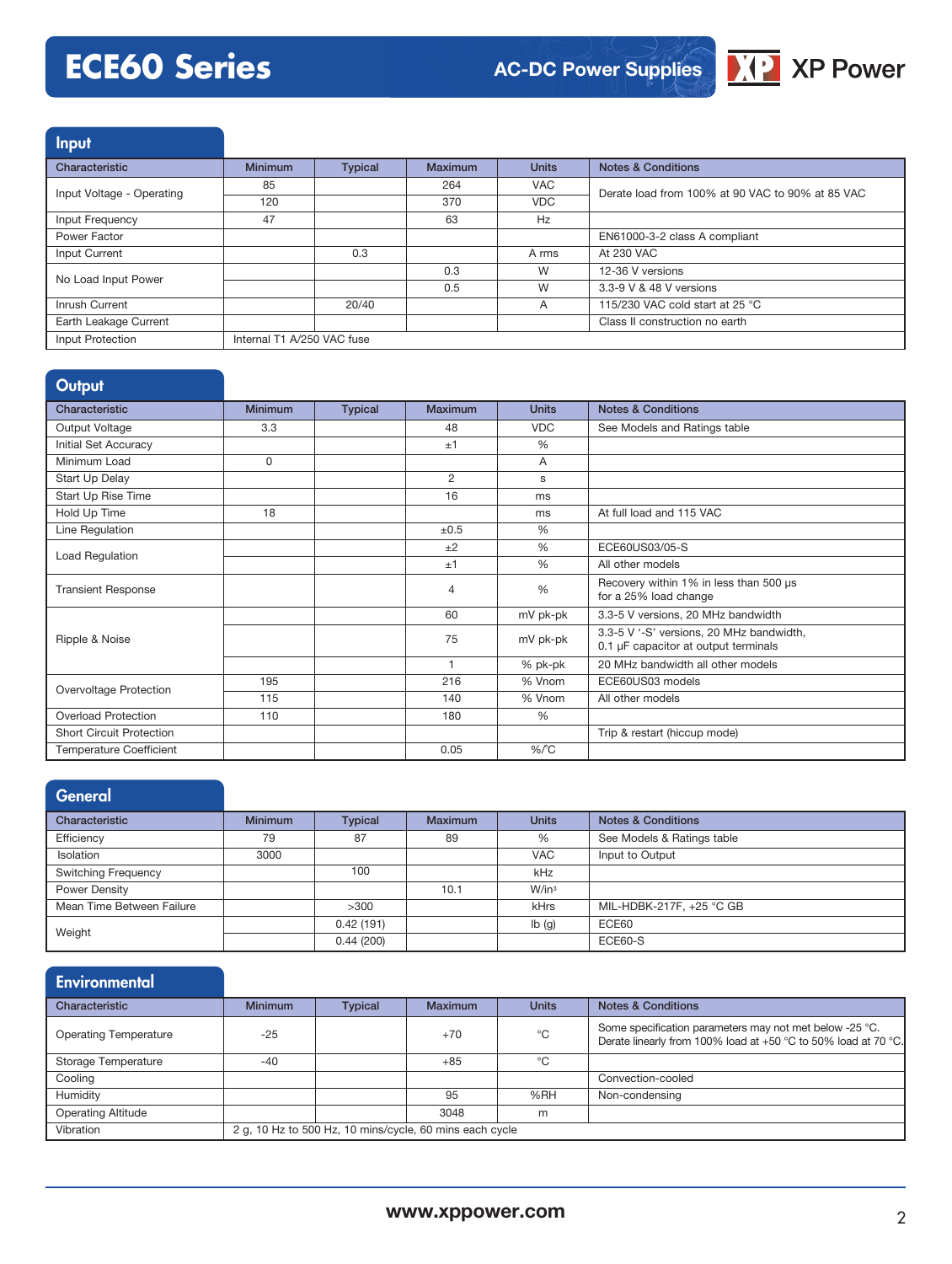# **ECE60 Series**



Input Characteristic **Minimum Typical Maximum Units Notes & Conditions** Input Voltage - Operating 85 | 264 | VAC Derate load from 100% at 90 VAC to 90% at 85 VAC 120 370 VDC Input Frequency 47 47 63 Hz Power Factor **EN61000-3-2 class A compliant** Input Current 0.3 A rms At 230 VAC No Load Input Power Note 2008 and the Contract of Contract Contract On the Contract On the Contract On the Contract On the Contract On the Contract On the Contract On the Contract On the Contract On the Contract On the Con 3.3-9 V & 48 V versions Inrush Current 20/40 20/40 A 115/230 VAC cold start at 25 °C Earth Leakage Current Class II construction no earth Input Protection Internal T1 A/250 VAC fuse

#### **Output** Characteristic **Minimum Typical Maximum Units Notes & Conditions** Output Voltage 3.3 3 3 3 48 VDC See Models and Ratings table Initial Set Accuracy  $\frac{1}{2}$  % Minimum Load **0 0 A** Start Up Delay Start Up Delay and the Contract of the Contract of the Contract of the Contract of the Contract of the Contract of the Contract of the Contract of the Contract of the Contract of the Contract of the Contract Start Up Rise Time 16 ms Hold Up Time 18 18 18 ms At full load and 115 VAC Line Regulation  $\frac{1}{20.5}$  %  $\begin{array}{|c|c|c|c|c|}\n\hline\n\text{Load Regulation} & & \text{ $\pm 2$} & \text{ $\frac{\#2}{\text{G}}$ & \text{ECE60US03/05-S1}$} \end{array}$ ±1 % All other models Transient Response **1 COVER COVER TRANSIER IN THE RECOVER TRANSIER IN THE RECOVERY WITHIN 1% in less than 500 µs** for a 25% load change Ripple & Noise 60 mV pk-pk 3.3-5 V versions, 20 MHz bandwidth 75 mV pk-pk 3.3-5 V '-S' versions, 20 MHz bandwidth, 0.1 µF capacitor at output terminals 1 % pk-pk 20 MHz bandwidth all other models Overvoltage Protection 195 115 216 36 Vnom ECE60US03 models<br>115 140 36 Vnom All other models All other models Overload Protection 110 110 180 % Short Circuit Protection **Trip & restart (hiccup mode)** Trip & restart (hiccup mode) Temperature Coefficient  $\sqrt{6/5}$

| <b>General</b>             |                |                |                |                   |                               |
|----------------------------|----------------|----------------|----------------|-------------------|-------------------------------|
| Characteristic             | <b>Minimum</b> | <b>Typical</b> | <b>Maximum</b> | <b>Units</b>      | <b>Notes &amp; Conditions</b> |
| Efficiency                 | 79             | 87             | 89             | %                 | See Models & Ratings table    |
| Isolation                  | 3000           |                |                | <b>VAC</b>        | Input to Output               |
| <b>Switching Frequency</b> |                | 100            |                | kHz               |                               |
| Power Density              |                |                | 10.1           | W/in <sup>3</sup> |                               |
| Mean Time Between Failure  |                | >300           |                | kHrs              | MIL-HDBK-217F, +25 °C GB      |
| Weight                     |                | 0.42(191)      |                | Ib(g)             | ECE60                         |
|                            |                | 0.44(200)      |                |                   | <b>ECE60-S</b>                |

| Environmental                |                                                         |                |         |              |                                                                                                                           |
|------------------------------|---------------------------------------------------------|----------------|---------|--------------|---------------------------------------------------------------------------------------------------------------------------|
| Characteristic               | <b>Minimum</b>                                          | <b>Typical</b> | Maximum | <b>Units</b> | <b>Notes &amp; Conditions</b>                                                                                             |
| <b>Operating Temperature</b> | $-25$                                                   |                | $+70$   | °C           | Some specification parameters may not met below -25 °C.<br>Derate linearly from 100% load at +50 °C to 50% load at 70 °C. |
| Storage Temperature          | $-40$                                                   |                | $+85$   | °C           |                                                                                                                           |
| Cooling                      |                                                         |                |         |              | Convection-cooled                                                                                                         |
| Humidity                     |                                                         |                | 95      | %RH          | Non-condensing                                                                                                            |
| <b>Operating Altitude</b>    |                                                         |                | 3048    | m            |                                                                                                                           |
| Vibration                    | 2 g, 10 Hz to 500 Hz, 10 mins/cycle, 60 mins each cycle |                |         |              |                                                                                                                           |